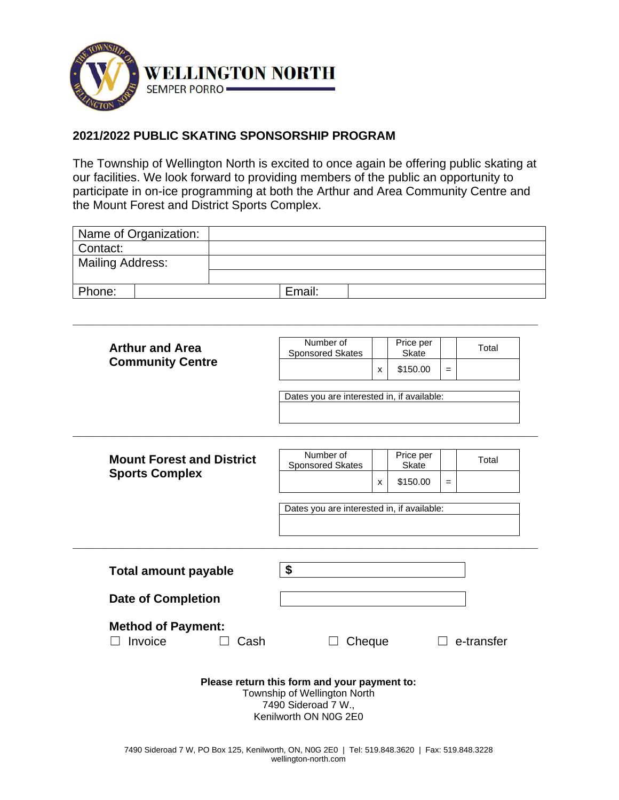

# **2021/2022 PUBLIC SKATING SPONSORSHIP PROGRAM**

The Township of Wellington North is excited to once again be offering public skating at our facilities. We look forward to providing members of the public an opportunity to participate in on-ice programming at both the Arthur and Area Community Centre and the Mount Forest and District Sports Complex.

| Name of Organization: |        |
|-----------------------|--------|
| Contact:              |        |
| Mailing Address:      |        |
|                       |        |
| Phone:                | Email: |

**\_\_\_\_\_\_\_\_\_\_\_\_\_\_\_\_\_\_\_\_\_\_\_\_\_\_\_\_\_\_\_\_\_\_\_\_\_\_\_\_\_\_\_\_\_\_\_\_\_\_\_\_\_\_\_\_\_\_\_\_\_\_\_\_\_\_\_\_\_**

| <b>Arthur and Area</b>                       | Number of<br>Sponsored Skates                                                                                                |   | Price per<br><b>Skate</b> |     | Total             |
|----------------------------------------------|------------------------------------------------------------------------------------------------------------------------------|---|---------------------------|-----|-------------------|
| <b>Community Centre</b>                      |                                                                                                                              | X | \$150.00                  | $=$ |                   |
|                                              | Dates you are interested in, if available:                                                                                   |   |                           |     |                   |
|                                              |                                                                                                                              |   |                           |     |                   |
| <b>Mount Forest and District</b>             | Number of<br><b>Sponsored Skates</b>                                                                                         |   | Price per<br>Skate        |     | Total             |
| <b>Sports Complex</b>                        |                                                                                                                              | X | \$150.00                  | $=$ |                   |
|                                              | Dates you are interested in, if available:                                                                                   |   |                           |     |                   |
| <b>Total amount payable</b>                  | \$                                                                                                                           |   |                           |     |                   |
| <b>Date of Completion</b>                    |                                                                                                                              |   |                           |     |                   |
| <b>Method of Payment:</b><br>Invoice<br>Cash | Cheque                                                                                                                       |   |                           |     | $\Box$ e-transfer |
|                                              | Please return this form and your payment to:<br>Township of Wellington North<br>7490 Sideroad 7 W.,<br>Kenilworth ON N0G 2E0 |   |                           |     |                   |